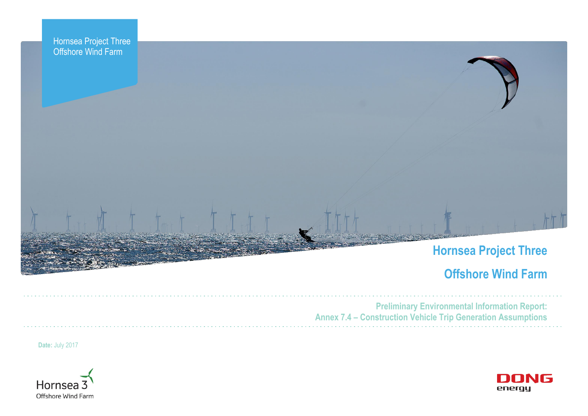



# **Offshore Wind Farm**



**Preliminary Environmental Information Report: Annex 7.4 – Construction Vehicle Trip Generation Assumptions**

**Date:** July 2017

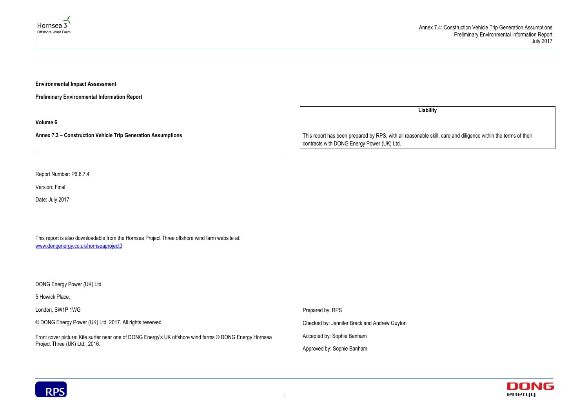### Annex 7.4: Construction Vehicle Trip Generation Assumptions Preliminary Environmental Information Report July 2017





**Environmental Impact Assessment** 

**Preliminary Environmental Information Report**

**Volume 6**

**Annex 7.3 – Construction Vehicle Trip Generation Assumptions**

Report Number: P6.6.7.4

Front cover picture: Kite surfer near one of DONG Energy's UK offshore wind farms © DONG Energy Hornsea Project Three (UK) Ltd., 2016.

Version: Final

Date: July 2017

This report is also downloadable from the Hornsea Project Three offshore wind farm website at: [www.dongenergy.co.uk/hornseaproject3](http://www.dongenergy.co.uk/hornseaproject3)

DONG Energy Power (UK) Ltd.

5 Howick Place,

London, SW1P 1WG

© DONG Energy Power (UK) Ltd. 2017. All rights reserved

**Liability**

This report has been prepared by RPS, with all reasonable skill, care and diligence within the terms of their contracts with DONG Energy Power (UK) Ltd.

Prepared by: RPS

Checked by: Jennifer Brack and Andrew Guyton

Accepted by: Sophie Banham

Approved by: Sophie Banham

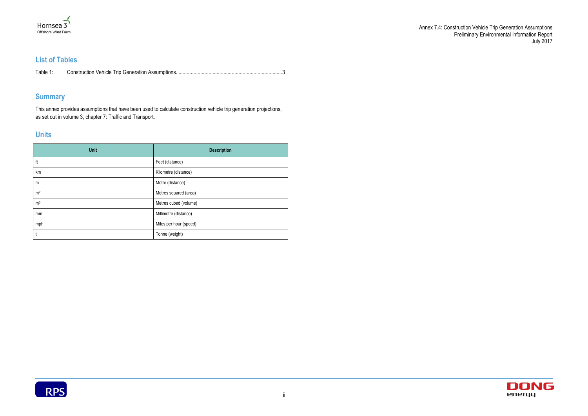Annex 7.4: Construction Vehicle Trip Generation Assumptions Preliminary Environmental Information Report July 2017





## **List of Tables**

Table 1: [Construction Vehicle Trip Generation Assumptions.](#page-3-0) ............................................................................3

# **Summary**

This annex provides assumptions that have been used to calculate construction vehicle trip generation projections, as set out in volume 3, chapter 7: Traffic and Transport.

# **Units**

| Unit           | <b>Description</b>     |
|----------------|------------------------|
| ft             | Feet (distance)        |
| km             | Kilometre (distance)   |
| m              | Metre (distance)       |
| m <sup>2</sup> | Metres squared (area)  |
| m <sup>3</sup> | Metres cubed (volume)  |
| mm             | Millimetre (distance)  |
| mph            | Miles per hour (speed) |
|                | Tonne (weight)         |